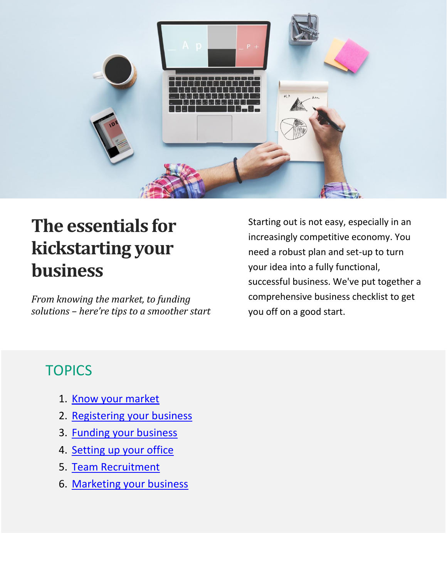

# **The essentials for kickstarting your business**

*From knowing the market, to funding solutions – here're tips to a smoother start*

Starting out is not easy, especially in an increasingly competitive economy. You need a robust plan and set-up to turn your idea into a fully functional, successful business. We've put together a comprehensive business checklist to get you off on a good start.

#### **TOPICS**

- 1. [Know your market](#page-1-0)
- 2. [Registering your business](#page-2-0)
- 3. [Funding your business](#page-3-0)
- 4. [Setting up your office](#page-3-1)
- 5. [Team Recruitment](#page-4-0)
- 6. [Marketing your business](#page-5-0)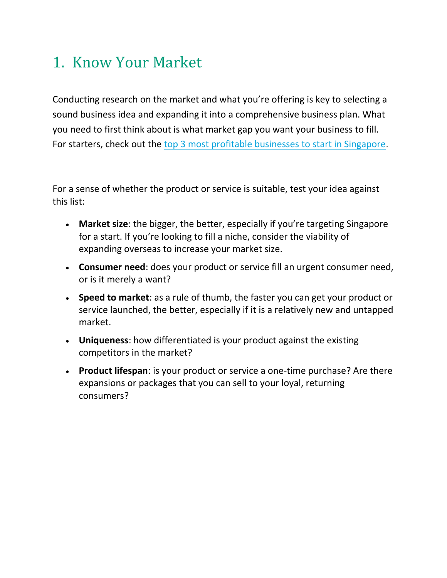#### <span id="page-1-0"></span>1. Know Your Market

Conducting research on the market and what you're offering is key to selecting a sound business idea and expanding it into a comprehensive business plan. What you need to first think about is what market gap you want your business to fill. For starters, check out the [top 3 most profitable businesses to start in Singapore.](http://www.starhub.com/business/resources/blog/3-most-profitable-businesses-to-start-in-singapore.html)

For a sense of whether the product or service is suitable, test your idea against this list:

- **Market size**: the bigger, the better, especially if you're targeting Singapore for a start. If you're looking to fill a niche, consider the viability of expanding overseas to increase your market size.
- **Consumer need**: does your product or service fill an urgent consumer need, or is it merely a want?
- **Speed to market**: as a rule of thumb, the faster you can get your product or service launched, the better, especially if it is a relatively new and untapped market.
- **Uniqueness**: how differentiated is your product against the existing competitors in the market?
- **Product lifespan**: is your product or service a one-time purchase? Are there expansions or packages that you can sell to your loyal, returning consumers?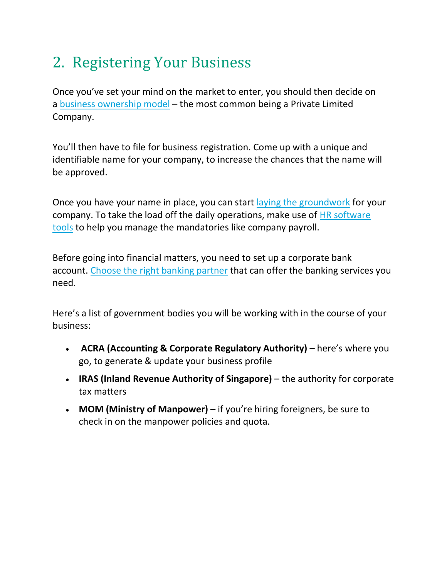## <span id="page-2-0"></span>2. Registering Your Business

Once you've set your mind on the market to enter, you should then decide on a [business ownership model](https://www.acra.gov.sg/components/wireframes/howToGuidesChapters.aspx?pageid=1755#1757) – the most common being a Private Limited Company.

You'll then have to file for business registration. Come up with a unique and identifiable name for your company, to increase the chances that the name will be approved.

Once you have your name in place, you can start [laying the groundwork](http://www.starhub.com/business/resources/blog/kickstarting-a-successful-business-101.html) for your company. To take the load off the daily operations, make use of [HR software](http://www.starhub.com/business/products-and-services/mobilizing-my-business/smartbusiness/smartbusiness-saas/ehrm/overview.html)  [tools](http://www.starhub.com/business/products-and-services/mobilizing-my-business/smartbusiness/smartbusiness-saas/ehrm/overview.html) to help you manage the mandatories like company payroll.

Before going into financial matters, you need to set up a corporate bank account. [Choose the right banking partner](http://www.starhub.com/business/resources/blog/money-matters-value-for-money-banking-services.html) that can offer the banking services you need.

Here's a list of government bodies you will be working with in the course of your business:

- **ACRA (Accounting & Corporate Regulatory Authority)** here's where you go, to generate & update your business profile
- **IRAS (Inland Revenue Authority of Singapore)** the authority for corporate tax matters
- **MOM (Ministry of Manpower)** if you're hiring foreigners, be sure to check in on the manpower policies and quota.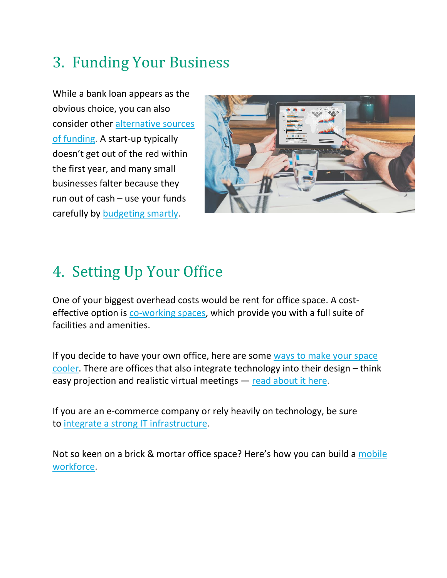### <span id="page-3-0"></span>3. Funding Your Business

While a bank loan appears as the obvious choice, you can also consider other [alternative sources](http://www.starhub.com/business/resources/blog/skip-the-bank-loans-3-alternative-funding-solutions.html)  [of funding.](http://www.starhub.com/business/resources/blog/skip-the-bank-loans-3-alternative-funding-solutions.html) A start-up typically doesn't get out of the red within the first year, and many small businesses falter because they run out of cash – use your funds carefully by [budgeting smartly.](http://www.starhub.com/business/resources/blog/5-budgeting-tips-for-start-ups.html)



#### <span id="page-3-1"></span>4. Setting Up Your Office

One of your biggest overhead costs would be rent for office space. A costeffective option is [co-working spaces,](http://www.starhub.com/business/resources/blog/are-co-working-spaces-here-to-stay.html) which provide you with a full suite of facilities and amenities.

If you decide to have your own office, here are some ways to make your space [cooler.](http://www.starhub.com/business/resources/blog/5-ways-to-make-your-office-space-cooler.html) There are offices that also integrate technology into their design – think easy projection and realistic virtual meetings — [read about it here.](http://www.starhub.com/business/resources/blog/smarter-workplace-of-tomorrow.html)

If you are an e-commerce company or rely heavily on technology, be sure to [integrate a strong IT infrastructure.](http://www.starhub.com/business/resources/blog/importance-of-a-strong-it-infrastructure.html)

Not so keen on a brick & mortar office space? Here's how you can build a [mobile](http://www.starhub.com/business/resources/blog/building-a-mobile-workforce.html)  [workforce.](http://www.starhub.com/business/resources/blog/building-a-mobile-workforce.html)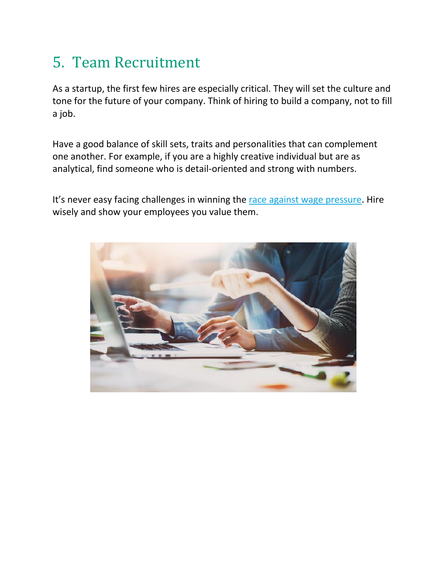#### <span id="page-4-0"></span>5. Team Recruitment

As a startup, the first few hires are especially critical. They will set the culture and tone for the future of your company. Think of hiring to build a company, not to fill a job.

Have a good balance of skill sets, traits and personalities that can complement one another. For example, if you are a highly creative individual but are as analytical, find someone who is detail-oriented and strong with numbers.

It's never easy facing challenges in winning the [race against wage pressure.](http://www.starhub.com/business/resources/blog/the-race-against-wage-pressure.html) Hire wisely and show your employees you value them.